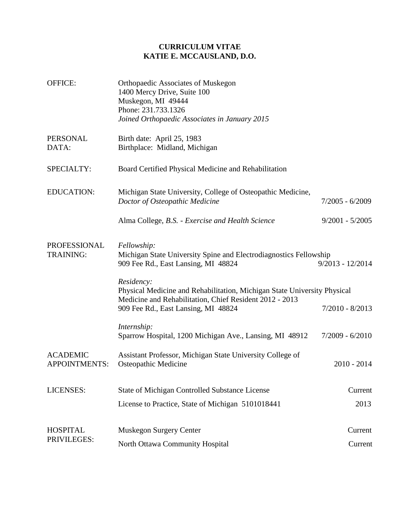## **CURRICULUM VITAE KATIE E. MCCAUSLAND, D.O.**

| OFFICE:                                 | <b>Orthopaedic Associates of Muskegon</b><br>1400 Mercy Drive, Suite 100<br>Muskegon, MI 49444<br>Phone: 231.733.1326<br>Joined Orthopaedic Associates in January 2015 |                    |
|-----------------------------------------|------------------------------------------------------------------------------------------------------------------------------------------------------------------------|--------------------|
| PERSONAL<br>DATA:                       | Birth date: April 25, 1983<br>Birthplace: Midland, Michigan                                                                                                            |                    |
| SPECIALTY:                              | Board Certified Physical Medicine and Rehabilitation                                                                                                                   |                    |
| <b>EDUCATION:</b>                       | Michigan State University, College of Osteopathic Medicine,<br>Doctor of Osteopathic Medicine                                                                          | $7/2005 - 6/2009$  |
|                                         | Alma College, B.S. - Exercise and Health Science                                                                                                                       | $9/2001 - 5/2005$  |
| PROFESSIONAL<br><b>TRAINING:</b>        | Fellowship:<br>Michigan State University Spine and Electrodiagnostics Fellowship<br>909 Fee Rd., East Lansing, MI 48824                                                | $9/2013 - 12/2014$ |
|                                         | Residency:<br>Physical Medicine and Rehabilitation, Michigan State University Physical<br>Medicine and Rehabilitation, Chief Resident 2012 - 2013                      |                    |
|                                         | 909 Fee Rd., East Lansing, MI 48824                                                                                                                                    | $7/2010 - 8/2013$  |
|                                         | Internship:<br>Sparrow Hospital, 1200 Michigan Ave., Lansing, MI 48912                                                                                                 | $7/2009 - 6/2010$  |
| <b>ACADEMIC</b><br><b>APPOINTMENTS:</b> | Assistant Professor, Michigan State University College of<br>Osteopathic Medicine                                                                                      | $2010 - 2014$      |
| <b>LICENSES:</b>                        | <b>State of Michigan Controlled Substance License</b>                                                                                                                  | Current            |
|                                         | License to Practice, State of Michigan 5101018441                                                                                                                      | 2013               |
| <b>HOSPITAL</b><br>PRIVILEGES:          | <b>Muskegon Surgery Center</b>                                                                                                                                         | Current            |
|                                         | North Ottawa Community Hospital                                                                                                                                        | Current            |